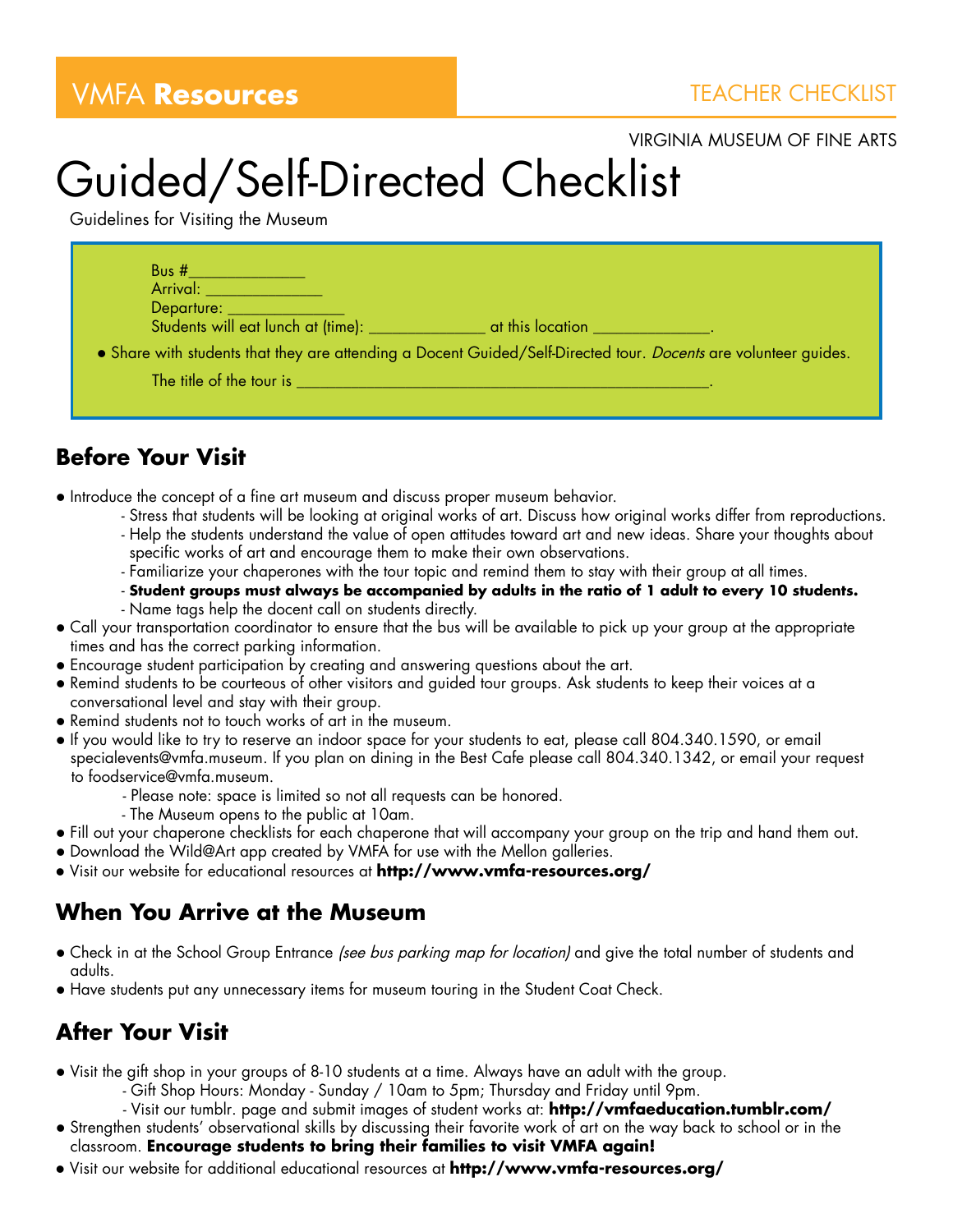## **VMFA Resources** TEACHER CHECKLIST

VIRGINIA MUSEUM OF FINE ARTS

## Guided/Self-Directed Checklist

Guidelines for Visiting the Museum

| Bus #<br>Arrival: <b>Arrival</b><br>Departure: __________ |                                                                                                                        |
|-----------------------------------------------------------|------------------------------------------------------------------------------------------------------------------------|
| Students will eat lunch at (time): __________             | at this location                                                                                                       |
|                                                           | • Share with students that they are attending a Docent Guided/Self-Directed tour. <i>Docents</i> are volunteer guides. |
| The title of the tour is                                  |                                                                                                                        |

## **Before Your Visit**

• Introduce the concept of a fine art museum and discuss proper museum behavior.

- Stress that students will be looking at original works of art. Discuss how original works differ from reproductions.
- Help the students understand the value of open attitudes toward art and new ideas. Share your thoughts about specific works of art and encourage them to make their own observations.
- Familiarize your chaperones with the tour topic and remind them to stay with their group at all times.
- **Student groups must always be accompanied by adults in the ratio of 1 adult to every 10 students.**
- Name tags help the docent call on students directly.
- Call your transportation coordinator to ensure that the bus will be available to pick up your group at the appropriate times and has the correct parking information.
- Encourage student participation by creating and answering questions about the art.
- Remind students to be courteous of other visitors and guided tour groups. Ask students to keep their voices at a conversational level and stay with their group.
- Remind students not to touch works of art in the museum.
- . If you would like to try to reserve an indoor space for your students to eat, please call 804.340.1590, or email specialevents@vmfa.museum. If you plan on dining in the Best Cafe please call 804.340.1342, or email your request to foodservice@vmfa.museum.
	- Please note: space is limited so not all requests can be honored.
	- The Museum opens to the public at 10am.
- l Fill out your chaperone checklists for each chaperone that will accompany your group on the trip and hand them out.
- Download the Wild@Art app created by VMFA for use with the Mellon galleries.
- l Visit our website for educational resources at **http://www.vmfa-resources.org/**

## **When You Arrive at the Museum**

- Check in at the School Group Entrance (see bus parking map for location) and give the total number of students and adults.
- l Have students put any unnecessary items for museum touring in the Student Coat Check.

## **After Your Visit**

- Visit the gift shop in your groups of 8-10 students at a time. Always have an adult with the group.
	- Gift Shop Hours: Monday Sunday / 10am to 5pm; Thursday and Friday until 9pm.
	- Visit our tumblr. page and submit images of student works at: **http://vmfaeducation.tumblr.com/**
- **•** Strengthen students' observational skills by discussing their favorite work of art on the way back to school or in the classroom. **Encourage students to bring their families to visit VMFA again!**
- l Visit our website for additional educational resources at **http://www.vmfa-resources.org/**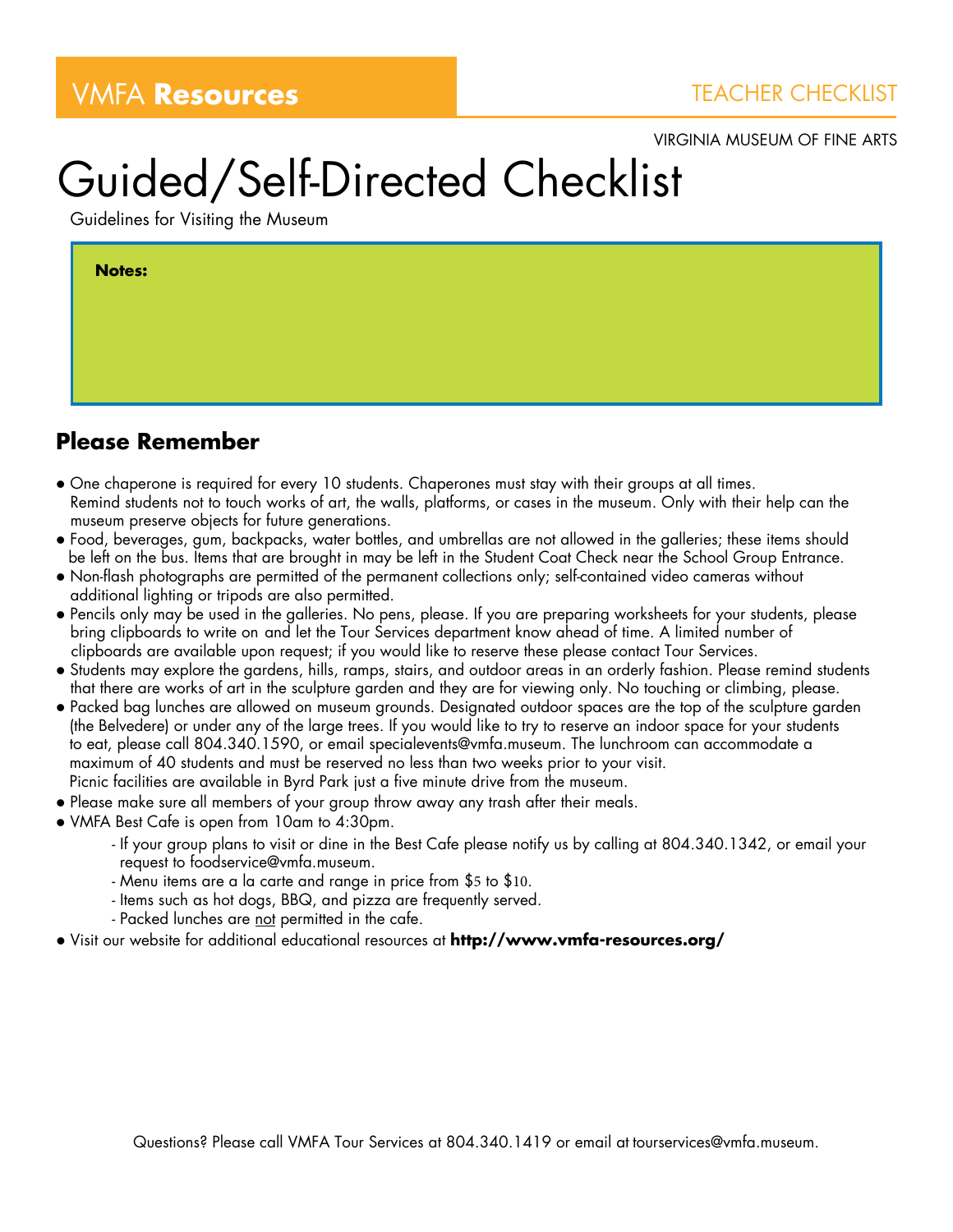VIRGINIA MUSEUM OF FINE ARTS

# Guided/Self-Directed Checklist

Guidelines for Visiting the Museum

| <b>Notes:</b> |
|---------------|
|               |
|               |
|               |

### **Please Remember**

- One chaperone is required for every 10 students. Chaperones must stay with their groups at all times. Remind students not to touch works of art, the walls, platforms, or cases in the museum. Only with their help can the museum preserve objects for future generations.
- l Food, beverages, gum, backpacks, water bottles, and umbrellas are not allowed in the galleries; these items should be left on the bus. Items that are brought in may be left in the Student Coat Check near the School Group Entrance.
- l Non-flash photographs are permitted of the permanent collections only; self-contained video cameras without additional lighting or tripods are also permitted.
- l Pencils only may be used in the galleries. No pens, please. If you are preparing worksheets for your students, please bring clipboards to write on and let the Tour Services department know ahead of time. A limited number of clipboards are available upon request; if you would like to reserve these please contact Tour Services.
- Students may explore the gardens, hills, ramps, stairs, and outdoor areas in an orderly fashion. Please remind students that there are works of art in the sculpture garden and they are for viewing only. No touching or climbing, please.
- l Packed bag lunches are allowed on museum grounds. Designated outdoor spaces are the top of the sculpture garden (the Belvedere) or under any of the large trees. If you would like to try to reserve an indoor space for your students to eat, please call 804.340.1590, or email specialevents@vmfa.museum. The lunchroom can accommodate a maximum of 40 students and must be reserved no less than two weeks prior to your visit. Picnic facilities are available in Byrd Park just a five minute drive from the museum.
- Please make sure all members of your group throw away any trash after their meals.
- VMFA Best Cafe is open from 10am to 4:30pm.
	- If your group plans to visit or dine in the Best Cafe please notify us by calling at 804.340.1342, or email your request to foodservice@vmfa.museum.
	- Menu items are a la carte and range in price from \$5 to \$10.
	- Items such as hot dogs, BBQ, and pizza are frequently served.
	- Packed lunches are <u>not</u> permitted in the cafe.
- l Visit our website for additional educational resources at **http://www.vmfa-resources.org/**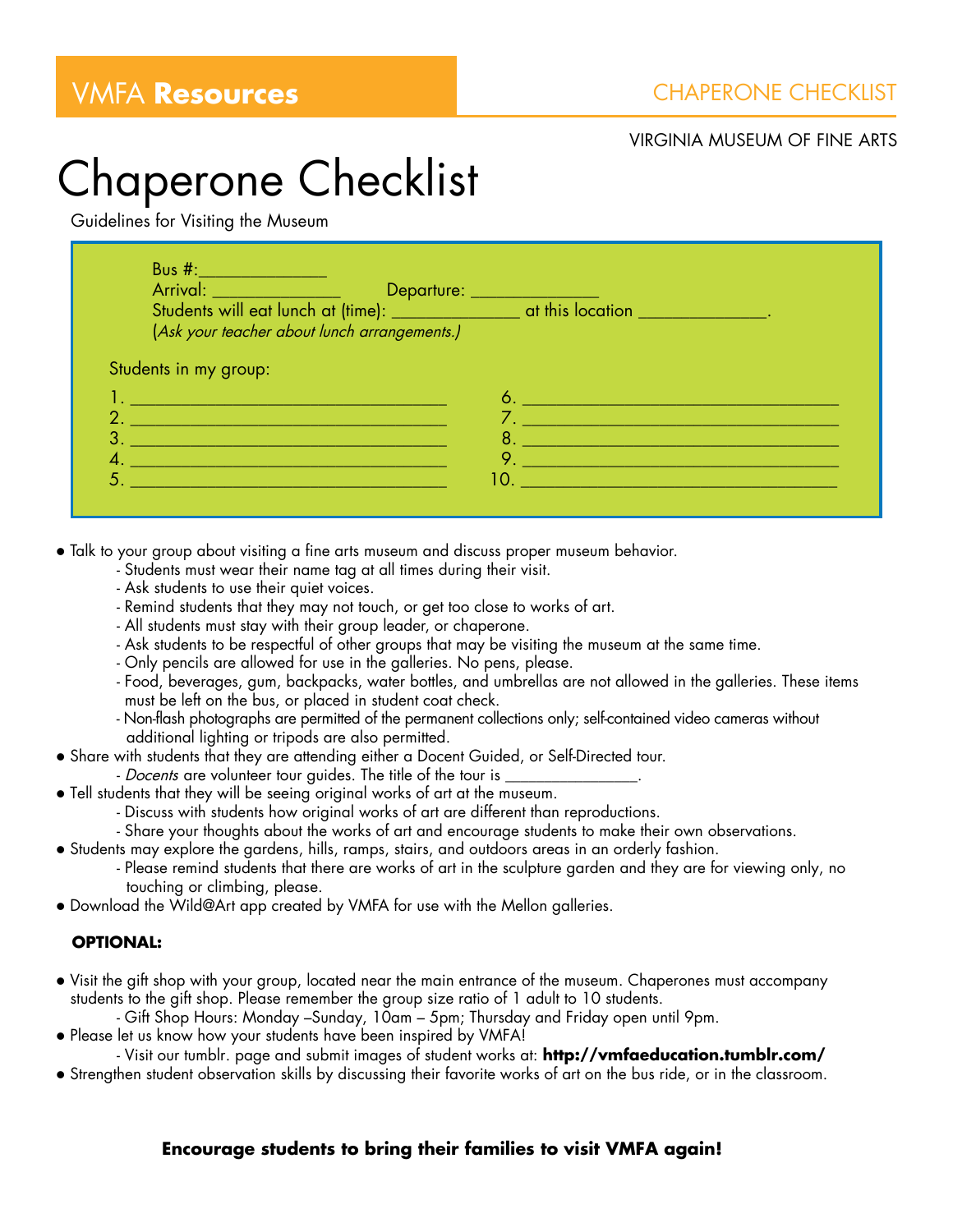### VIRGINIA MUSEUM OF FINE ARTS

## Chaperone Checklist

Guidelines for Visiting the Museum

| <b>Bus #:</b> ____________________<br>Arrival: <u>Communication de Departure:</u><br>Students will eat lunch at (time): which was at this location will eat lunch at (time):<br>(Ask your teacher about lunch arrangements.)         |                                                                                                                |
|--------------------------------------------------------------------------------------------------------------------------------------------------------------------------------------------------------------------------------------|----------------------------------------------------------------------------------------------------------------|
| Students in my group:                                                                                                                                                                                                                |                                                                                                                |
| <u>I. De seu provincia de la provincia de la provincia de la provincia de la provincia de la provincia de la pro</u>                                                                                                                 |                                                                                                                |
| <u> Andreas Andreas Andreas Andreas Andreas Andreas Andreas Andreas Andreas Andreas Andreas Andreas Andreas Andreas Andreas Andreas Andreas Andreas Andreas Andreas Andreas Andreas Andreas Andreas Andreas Andreas Andreas Andr</u> |                                                                                                                |
| <u> 1989 - Johann Stein, marwolaethau a bhann an t-Amhair an t-Amhair an t-Amhair an t-Amhair an t-Amhair an t-A</u>                                                                                                                 | 10. Williams of the U.S. of the U.S. of the U.S. of the U.S. of the U.S. of the U.S. of the U.S. of the U.S. o |

- Talk to your group about visiting a fine arts museum and discuss proper museum behavior.
	- Students must wear their name tag at all times during their visit.
	- Ask students to use their quiet voices.
	- Remind students that they may not touch, or get too close to works of art.
	- All students must stay with their group leader, or chaperone.
	- Ask students to be respectful of other groups that may be visiting the museum at the same time.
	- Only pencils are allowed for use in the galleries. No pens, please.
	- Food, beverages, gum, backpacks, water bottles, and umbrellas are not allowed in the galleries. These items must be left on the bus, or placed in student coat check.
	- Non-flash photographs are permitted of the permanent collections only; self-contained video cameras without additional lighting or tripods are also permitted.
- l Share with students that they are attending either a Docent Guided, or Self-Directed tour.
	- Docents are volunteer tour guides. The title of the tour is \_\_\_\_\_\_\_\_\_\_\_\_\_\_\_\_\_.
- Tell students that they will be seeing original works of art at the museum.
	- Discuss with students how original works of art are different than reproductions.
	- Share your thoughts about the works of art and encourage students to make their own observations.
- l Students may explore the gardens, hills, ramps, stairs, and outdoors areas in an orderly fashion.
	- Please remind students that there are works of art in the sculpture garden and they are for viewing only, no touching or climbing, please.
- Download the Wild@Art app created by VMFA for use with the Mellon galleries.

### **OPTIONAL:**

- l Visit the gift shop with your group, located near the main entrance of the museum. Chaperones must accompany students to the gift shop. Please remember the group size ratio of 1 adult to 10 students.
	- Gift Shop Hours: Monday –Sunday, 10am 5pm; Thursday and Friday open until 9pm.
- Please let us know how your students have been inspired by VMFA!

- Visit our tumblr. page and submit images of student works at: **http://vmfaeducation.tumblr.com/**

• Strengthen student observation skills by discussing their favorite works of art on the bus ride, or in the classroom.

### **Encourage students to bring their families to visit VMFA again!**